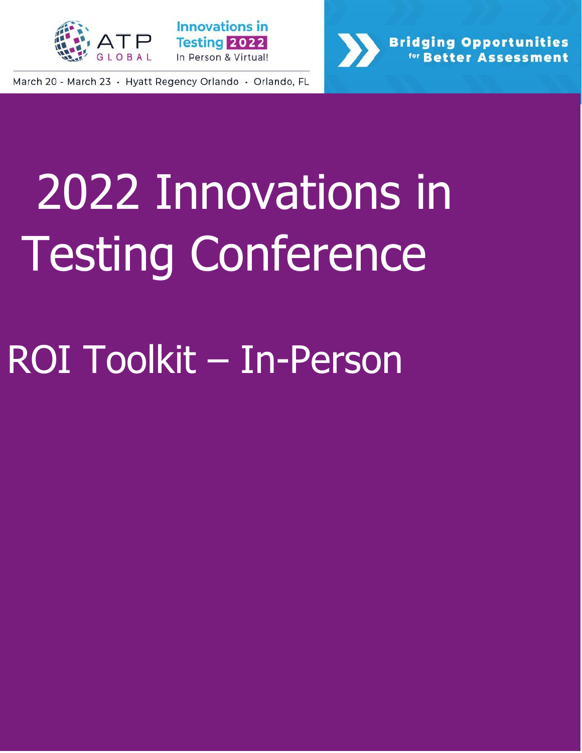



**Bridging Opportunities Better Assessment** 

March 20 - March 23 · Hyatt Regency Orlando · Orlando, FL

# 2022 Innovations in Testing Conference

# ROI Toolkit – In-Person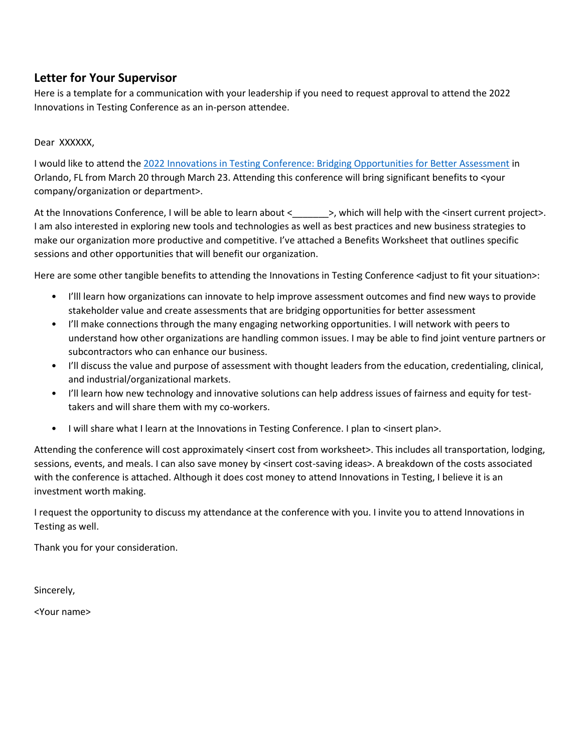### **Letter for Your Supervisor**

Here is a template for a communication with your leadership if you need to request approval to attend the 2022 Innovations in Testing Conference as an in-person attendee.

#### Dear XXXXXX,

I would like to attend the [2022 Innovations in Testing Conference: Bridging Opportunities for Better Assessment](http://www.innovationsintesting.org/index.aspx) in Orlando, FL from March 20 through March 23. Attending this conference will bring significant benefits to <your company/organization or department>.

At the Innovations Conference, I will be able to learn about < \_\_\_\_\_\_ >, which will help with the <insert current project>. I am also interested in exploring new tools and technologies as well as best practices and new business strategies to make our organization more productive and competitive. I've attached a Benefits Worksheet that outlines specific sessions and other opportunities that will benefit our organization.

Here are some other tangible benefits to attending the Innovations in Testing Conference <adjust to fit your situation>:

- I'lll learn how organizations can innovate to help improve assessment outcomes and find new ways to provide stakeholder value and create assessments that are bridging opportunities for better assessment
- I'll make connections through the many engaging networking opportunities. I will network with peers to understand how other organizations are handling common issues. I may be able to find joint venture partners or subcontractors who can enhance our business.
- I'll discuss the value and purpose of assessment with thought leaders from the education, credentialing, clinical, and industrial/organizational markets.
- I'll learn how new technology and innovative solutions can help address issues of fairness and equity for testtakers and will share them with my co-workers.
- I will share what I learn at the Innovations in Testing Conference. I plan to <insert plan>.

Attending the conference will cost approximately <insert cost from worksheet>. This includes all transportation, lodging, sessions, events, and meals. I can also save money by <insert cost-saving ideas>. A breakdown of the costs associated with the conference is attached. Although it does cost money to attend Innovations in Testing, I believe it is an investment worth making.

I request the opportunity to discuss my attendance at the conference with you. I invite you to attend Innovations in Testing as well.

Thank you for your consideration.

Sincerely,

<Your name>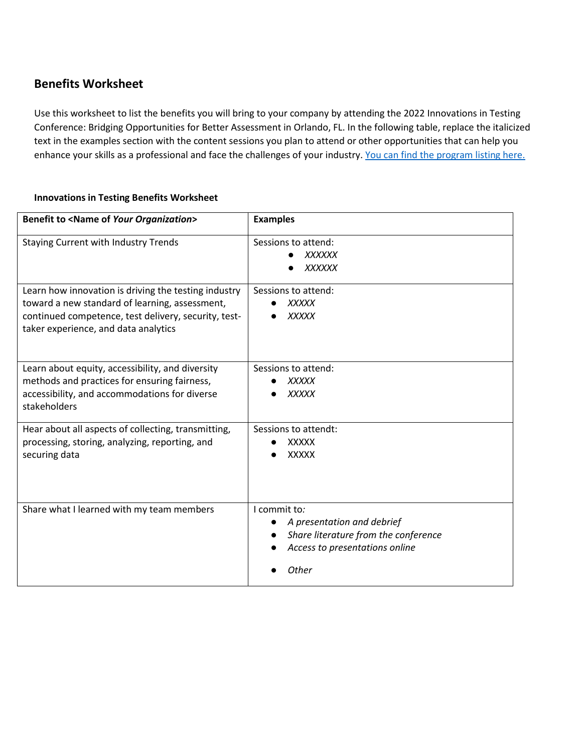## **Benefits Worksheet**

Use this worksheet to list the benefits you will bring to your company by attending the 2022 Innovations in Testing Conference: Bridging Opportunities for Better Assessment in Orlando, FL. In the following table, replace the italicized text in the examples section with the content sessions you plan to attend or other opportunities that can help you enhance your skills as a professional and face the challenges of your industry. [You can find the program listing here.](https://na.eventscloud.com/ehome/index.php?eventid=631004&tabid=1140333)

#### **Innovations in Testing Benefits Worksheet**

| <b>Benefit to <name of="" organization="" your=""></name></b>                                                                                                                                          | <b>Examples</b>                                                                                                               |
|--------------------------------------------------------------------------------------------------------------------------------------------------------------------------------------------------------|-------------------------------------------------------------------------------------------------------------------------------|
| <b>Staying Current with Industry Trends</b>                                                                                                                                                            | Sessions to attend:<br><b>XXXXXX</b><br><b>XXXXXX</b>                                                                         |
| Learn how innovation is driving the testing industry<br>toward a new standard of learning, assessment,<br>continued competence, test delivery, security, test-<br>taker experience, and data analytics | Sessions to attend:<br><b>XXXXX</b><br><b>XXXXX</b>                                                                           |
| Learn about equity, accessibility, and diversity<br>methods and practices for ensuring fairness,<br>accessibility, and accommodations for diverse<br>stakeholders                                      | Sessions to attend:<br><b>XXXXX</b><br><b>XXXXX</b>                                                                           |
| Hear about all aspects of collecting, transmitting,<br>processing, storing, analyzing, reporting, and<br>securing data                                                                                 | Sessions to attendt:<br><b>XXXXX</b><br><b>XXXXX</b>                                                                          |
| Share what I learned with my team members                                                                                                                                                              | I commit to:<br>A presentation and debrief<br>Share literature from the conference<br>Access to presentations online<br>Other |